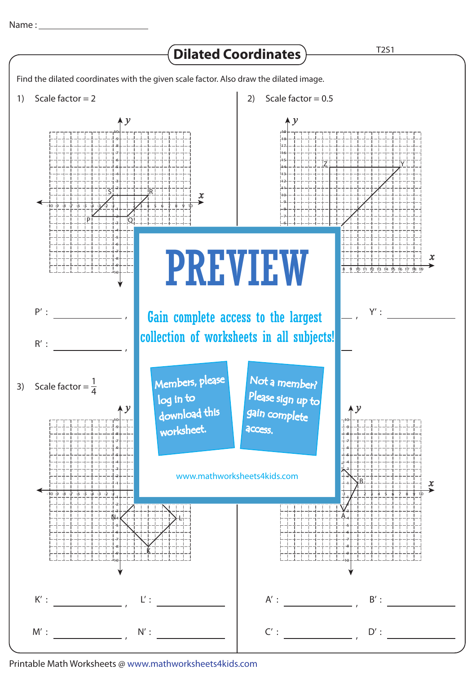